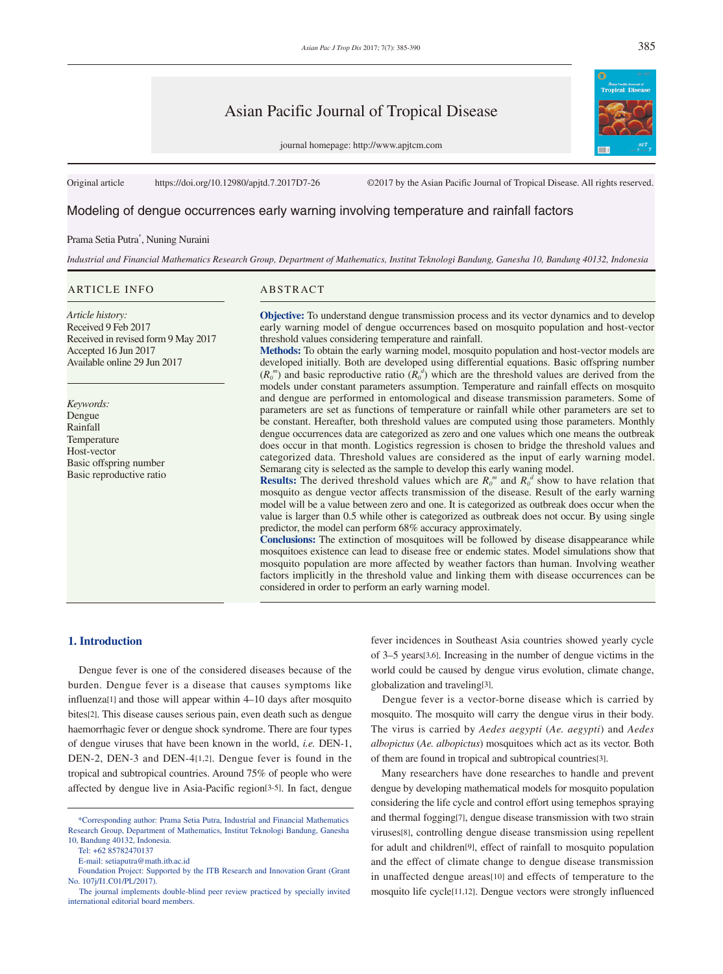# Asian Pacific Journal of Tropical Disease

journal homepage: http://www.apjtcm.com

Original article https://doi.org/10.12980/apjtd.7.2017D7-26 ©2017 by the Asian Pacific Journal of Tropical Disease. All rights reserved.

# Modeling of dengue occurrences early warning involving temperature and rainfall factors

## Prama Setia Putra\* , Nuning Nuraini

Received in revised form 9 May 2017

*Industrial and Financial Mathematics Research Group, Department of Mathematics, Institut Teknologi Bandung, Ganesha 10, Bandung 40132, Indonesia*

#### ARTICLE INFO ABSTRACT

Accepted 16 Jun 2017 Available online 29 Jun 2017

Basic offspring number Basic reproductive ratio

*Article history:* Received 9 Feb 2017

*Keywords:* Dengue Rainfall Temperature Host-vector

**Objective:** To understand dengue transmission process and its vector dynamics and to develop early warning model of dengue occurrences based on mosquito population and host-vector threshold values considering temperature and rainfall.

**Methods:** To obtain the early warning model, mosquito population and host-vector models are developed initially. Both are developed using differential equations. Basic offspring number  $(R_0^m)$  and basic reproductive ratio  $(R_0^d)$  which are the threshold values are derived from the models under constant parameters assumption. Temperature and rainfall effects on mosquito and dengue are performed in entomological and disease transmission parameters. Some of parameters are set as functions of temperature or rainfall while other parameters are set to be constant. Hereafter, both threshold values are computed using those parameters. Monthly dengue occurrences data are categorized as zero and one values which one means the outbreak does occur in that month. Logistics regression is chosen to bridge the threshold values and categorized data. Threshold values are considered as the input of early warning model. Semarang city is selected as the sample to develop this early waning model.

**Results:** The derived threshold values which are  $R_0^m$  and  $R_0^d$  show to have relation that mosquito as dengue vector affects transmission of the disease. Result of the early warning model will be a value between zero and one. It is categorized as outbreak does occur when the value is larger than 0.5 while other is categorized as outbreak does not occur. By using single predictor, the model can perform 68% accuracy approximately.

**Conclusions:** The extinction of mosquitoes will be followed by disease disappearance while mosquitoes existence can lead to disease free or endemic states. Model simulations show that mosquito population are more affected by weather factors than human. Involving weather factors implicitly in the threshold value and linking them with disease occurrences can be considered in order to perform an early warning model.

# **1. Introduction**

 Dengue fever is one of the considered diseases because of the burden. Dengue fever is a disease that causes symptoms like influenza[1] and those will appear within 4–10 days after mosquito bites[2]. This disease causes serious pain, even death such as dengue haemorrhagic fever or dengue shock syndrome. There are four types of dengue viruses that have been known in the world, *i.e.* DEN-1, DEN-2, DEN-3 and DEN-4[1,2]. Dengue fever is found in the tropical and subtropical countries. Around 75% of people who were affected by dengue live in Asia-Pacific region[3-5]. In fact, dengue

fever incidences in Southeast Asia countries showed yearly cycle of 3–5 years[3,6]. Increasing in the number of dengue victims in the world could be caused by dengue virus evolution, climate change, globalization and traveling[3].

 Dengue fever is a vector-borne disease which is carried by mosquito. The mosquito will carry the dengue virus in their body. The virus is carried by *Aedes aegypti* (*Ae. aegypti*) and *Aedes albopictus* (*Ae. albopictus*) mosquitoes which act as its vector. Both of them are found in tropical and subtropical countries[3].

 Many researchers have done researches to handle and prevent dengue by developing mathematical models for mosquito population considering the life cycle and control effort using temephos spraying and thermal fogging[7], dengue disease transmission with two strain viruses[8], controlling dengue disease transmission using repellent for adult and children[9], effect of rainfall to mosquito population and the effect of climate change to dengue disease transmission in unaffected dengue areas[10] and effects of temperature to the mosquito life cycle[11,12]. Dengue vectors were strongly influenced



 <sup>\*</sup>Corresponding author: Prama Setia Putra, Industrial and Financial Mathematics Research Group, Department of Mathematics, Institut Teknologi Bandung, Ganesha 10, Bandung 40132, Indonesia.

Tel: +62 85782470137

E-mail: setiaputra@math.itb.ac.id

Foundation Project: Supported by the ITB Research and Innovation Grant (Grant No. 107j/I1.C01/PL/2017).

The journal implements double-blind peer review practiced by specially invited international editorial board members.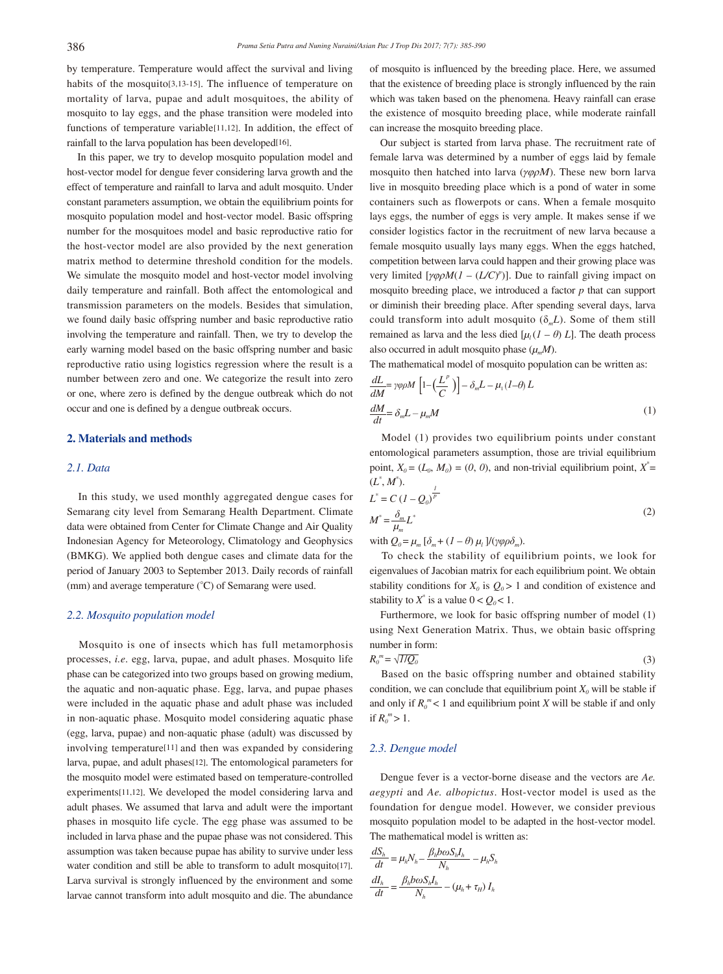by temperature. Temperature would affect the survival and living habits of the mosquito[3,13-15]. The influence of temperature on mortality of larva, pupae and adult mosquitoes, the ability of mosquito to lay eggs, and the phase transition were modeled into functions of temperature variable[11,12]. In addition, the effect of rainfall to the larva population has been developed[16].

 In this paper, we try to develop mosquito population model and host-vector model for dengue fever considering larva growth and the effect of temperature and rainfall to larva and adult mosquito. Under constant parameters assumption, we obtain the equilibrium points for mosquito population model and host-vector model. Basic offspring number for the mosquitoes model and basic reproductive ratio for the host-vector model are also provided by the next generation matrix method to determine threshold condition for the models. We simulate the mosquito model and host-vector model involving daily temperature and rainfall. Both affect the entomological and transmission parameters on the models. Besides that simulation, we found daily basic offspring number and basic reproductive ratio involving the temperature and rainfall. Then, we try to develop the early warning model based on the basic offspring number and basic reproductive ratio using logistics regression where the result is a number between zero and one. We categorize the result into zero or one, where zero is defined by the dengue outbreak which do not occur and one is defined by a dengue outbreak occurs.

## **2. Materials and methods**

# *2.1. Data*

 In this study, we used monthly aggregated dengue cases for Semarang city level from Semarang Health Department. Climate data were obtained from Center for Climate Change and Air Quality Indonesian Agency for Meteorology, Climatology and Geophysics (BMKG). We applied both dengue cases and climate data for the period of January 2003 to September 2013. Daily records of rainfall (mm) and average temperature (°C) of Semarang were used.

#### *2.2. Mosquito population model*

 Mosquito is one of insects which has full metamorphosis processes, *i.e*. egg, larva, pupae, and adult phases. Mosquito life phase can be categorized into two groups based on growing medium, the aquatic and non-aquatic phase. Egg, larva, and pupae phases were included in the aquatic phase and adult phase was included in non-aquatic phase. Mosquito model considering aquatic phase (egg, larva, pupae) and non-aquatic phase (adult) was discussed by involving temperature[11] and then was expanded by considering larva, pupae, and adult phases[12]. The entomological parameters for the mosquito model were estimated based on temperature-controlled experiments[11,12]. We developed the model considering larva and adult phases. We assumed that larva and adult were the important phases in mosquito life cycle. The egg phase was assumed to be included in larva phase and the pupae phase was not considered. This assumption was taken because pupae has ability to survive under less water condition and still be able to transform to adult mosquito[17]. Larva survival is strongly influenced by the environment and some larvae cannot transform into adult mosquito and die. The abundance

of mosquito is influenced by the breeding place. Here, we assumed that the existence of breeding place is strongly influenced by the rain which was taken based on the phenomena. Heavy rainfall can erase the existence of mosquito breeding place, while moderate rainfall can increase the mosquito breeding place.

 Our subject is started from larva phase. The recruitment rate of female larva was determined by a number of eggs laid by female mosquito then hatched into larva ( $\gamma \varphi \rho M$ ). These new born larva live in mosquito breeding place which is a pond of water in some containers such as flowerpots or cans. When a female mosquito lays eggs, the number of eggs is very ample. It makes sense if we consider logistics factor in the recruitment of new larva because a female mosquito usually lays many eggs. When the eggs hatched, competition between larva could happen and their growing place was very limited  $[\gamma \varphi \rho M (I - (L/C)^p)]$ . Due to rainfall giving impact on mosquito breeding place, we introduced a factor *p* that can support or diminish their breeding place. After spending several days, larva could transform into adult mosquito  $(\delta_m L)$ . Some of them still remained as larva and the less died  $[\mu_l (I - \theta) L]$ . The death process also occurred in adult mosquito phase  $(\mu_m M)$ .

The mathematical model of mosquito population can be written as:

$$
\frac{dL}{dM} = \gamma \varphi \rho M \left[ 1 - \left( \frac{L^p}{C} \right) \right] - \delta_m L - \mu_1 (I - \theta) L
$$
\n
$$
\frac{dM}{dt} = \delta_m L - \mu_m M \tag{1}
$$

 Model (1) provides two equilibrium points under constant entomological parameters assumption, those are trivial equilibrium point,  $X_0 = (L_0, M_0) = (0, 0)$ , and non-trivial equilibrium point,  $X^* =$  $(L^*, M^*)$ . *1*

$$
L^* = C (I - Q_0)^{\overline{P}}
$$
  

$$
M^* = \frac{\delta_m}{\mu_m} L^*
$$
 (2)

with  $Q_0 = \mu_m [\delta_m + (I - \theta) \mu_l] / (\gamma \varphi \rho \delta_m)$ .

 To check the stability of equilibrium points, we look for eigenvalues of Jacobian matrix for each equilibrium point. We obtain stability conditions for  $X_0$  is  $Q_0 > 1$  and condition of existence and stability to  $X^*$  is a value  $0 < Q_0 < 1$ .

 Furthermore, we look for basic offspring number of model (1) using Next Generation Matrix. Thus, we obtain basic offspring number in form:

$$
R_0^{\ \ m} = \sqrt{I/Q_0} \tag{3}
$$

 Based on the basic offspring number and obtained stability condition, we can conclude that equilibrium point  $X_0$  will be stable if and only if  $R_0^m$  < 1 and equilibrium point *X* will be stable if and only if  $R_0^m > 1$ .

#### *2.3. Dengue model*

 Dengue fever is a vector-borne disease and the vectors are *Ae. aegypti* and *Ae. albopictus*. Host-vector model is used as the foundation for dengue model. However, we consider previous mosquito population model to be adapted in the host-vector model. The mathematical model is written as:

$$
\frac{dS_h}{dt} = \mu_h N_h - \frac{\beta_h b \omega S_h I_h}{N_h} - \mu_h S_h
$$

$$
\frac{dI_h}{dt} = \frac{\beta_h b \omega S_h I_h}{N_h} - (\mu_h + \tau_H) I_h
$$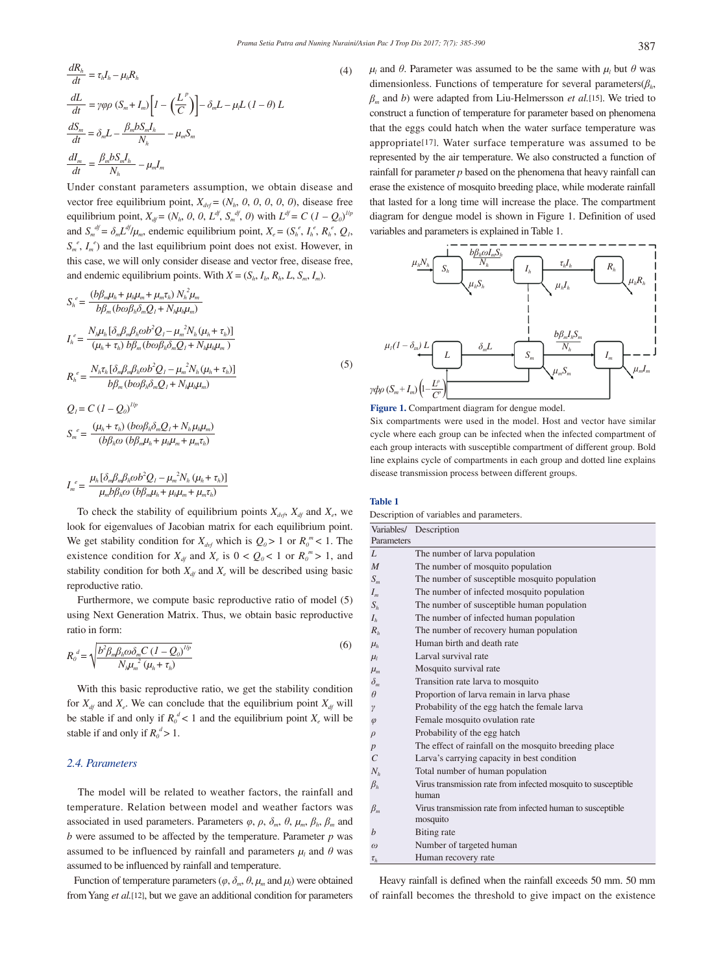$$
\frac{dR_h}{dt} = \tau_h I_h - \mu_h R_h
$$
\n
$$
\frac{dL}{dt} = \gamma \varphi \rho \left( S_m + I_m \right) \left[ I - \left( \frac{L^P}{C} \right) \right] - \delta_m L - \mu_l L \left( I - \theta \right) L
$$
\n
$$
\frac{dS_m}{dt} = \delta_m L - \frac{\beta_m b S_m I_h}{N_h} - \mu_m S_m
$$
\n
$$
\frac{dI_m}{dt} = \frac{\beta_m b S_m I_h}{N_h} - \mu_m I_m
$$
\n(4)

Under constant parameters assumption, we obtain disease and vector free equilibrium point,  $X_{\text{dof}} = (N_h, 0, 0, 0, 0, 0)$ , disease free equilibrium point,  $X_{df} = (N_h, 0, 0, L^{df}, S_m^{df}, 0)$  with  $L^{df} = C (I - Q_0)^{1/p}$ and  $S_m^{\ d} = \delta_m L^{df}/\mu_m$ , endemic equilibrium point,  $X_e = (S_h^e, I_h^e, R_h^e, Q_I,$  $S_m^e$ ,  $I_m^e$ ) and the last equilibrium point does not exist. However, in this case, we will only consider disease and vector free, disease free, and endemic equilibrium points. With  $X = (S_h, I_h, R_h, L, S_m, I_m)$ .

2<sup>2</sup>

$$
S_{h}^{e} = \frac{(b\beta_{m}\mu_{h} + \mu_{h}\mu_{m} + \mu_{m}\tau_{h}) N_{h}^{2} \mu_{m}}{b\beta_{m}(b\omega\beta_{h}\delta_{m}Q_{I} + N_{h}\mu_{h}\mu_{m})}
$$
  
\n
$$
I_{h}^{e} = \frac{N_{h}\mu_{h}\left[\delta_{m}\beta_{m}\beta_{h}\omega b^{2}Q_{I} - \mu_{m}^{2}N_{h}(\mu_{h} + \tau_{h})\right]}{(\mu_{h} + \tau_{h}) b\beta_{m}(b\omega\beta_{h}\delta_{m}Q_{I} + N_{h}\mu_{h}\mu_{m})}
$$
  
\n
$$
R_{h}^{e} = \frac{N_{h}\tau_{h}\left[\delta_{m}\beta_{m}\beta_{h}\omega b^{2}Q_{I} - \mu_{m}^{2}N_{h}(\mu_{h} + \tau_{h})\right]}{b\beta_{m}(b\omega\beta_{h}\delta_{m}Q_{I} + N_{h}\mu_{h}\mu_{m})}
$$
\n
$$
Q = C\left(\frac{1}{2} - Q\right)^{1/p}
$$
\n(5)

$$
Q_{l} = C (I - Q_{0})^{l/p}
$$
  

$$
S_{m}^{e} = \frac{(\mu_{h} + \tau_{h}) (b \omega \beta_{h} \delta_{m} Q_{l} + N_{h} \mu_{h} \mu_{m})}{(b \beta_{h} \omega (b \beta_{m} \mu_{h} + \mu_{h} \mu_{m} + \mu_{m} \tau_{h})}
$$

$$
I_{m}^{e} = \frac{\mu_{h} [\delta_{m} \beta_{m} \beta_{h} \omega b^{2} Q_{I} - \mu_{m}^{2} N_{h} (\mu_{h} + \tau_{h})]}{\mu_{m} b \beta_{h} \omega (b \beta_{m} \mu_{h} + \mu_{h} \mu_{m} + \mu_{m} \tau_{h})}
$$

To check the stability of equilibrium points  $X_{\text{dof}}$ ,  $X_{\text{dif}}$  and  $X_{\text{e}}$ , we look for eigenvalues of Jacobian matrix for each equilibrium point. We get stability condition for  $X_{\text{day}}$  which is  $Q_0 > 1$  or  $R_0^m < 1$ . The existence condition for  $X_{df}$  and  $X_e$  is  $0 < Q_0 < 1$  or  $R_0^m > 1$ , and stability condition for both  $X_{d}$  and  $X_e$  will be described using basic reproductive ratio.

 Furthermore, we compute basic reproductive ratio of model (5) using Next Generation Matrix. Thus, we obtain basic reproductive ratio in form:

$$
R_o^d = \sqrt{\frac{b^2 \beta_m \beta_h \omega \delta_m C (I - Q_0)^{1/p}}{N_h \mu_m^2 (\mu_h + \tau_h)}}
$$
(6)

 With this basic reproductive ratio, we get the stability condition for  $X_{df}$  and  $X_e$ . We can conclude that the equilibrium point  $X_{df}$  will be stable if and only if  $R_0^d$  < 1 and the equilibrium point  $X_e$  will be stable if and only if  $R_0^d > 1$ .

## *2.4. Parameters*

 The model will be related to weather factors, the rainfall and temperature. Relation between model and weather factors was associated in used parameters. Parameters  $\varphi$ ,  $\rho$ ,  $\delta_m$ ,  $\theta$ ,  $\mu_m$ ,  $\beta_h$ ,  $\beta_m$  and  *were assumed to be affected by the temperature. Parameter*  $*p*$  *was* assumed to be influenced by rainfall and parameters  $\mu_l$  and  $\theta$  was assumed to be influenced by rainfall and temperature.

Function of temperature parameters ( $\varphi$ ,  $\delta_m$ ,  $\theta$ ,  $\mu_m$  and  $\mu_l$ ) were obtained from Yang *et al.*[12], but we gave an additional condition for parameters

*μ*<sub>l</sub> and *θ*. Parameter was assumed to be the same with  $μ$ <sub>l</sub> but *θ* was dimensionless. Functions of temperature for several parameters(*βh*, *βm* and *b*) were adapted from Liu-Helmersson *et al.*[15]. We tried to construct a function of temperature for parameter based on phenomena that the eggs could hatch when the water surface temperature was appropriate[17]. Water surface temperature was assumed to be represented by the air temperature. We also constructed a function of rainfall for parameter *p* based on the phenomena that heavy rainfall can erase the existence of mosquito breeding place, while moderate rainfall that lasted for a long time will increase the place. The compartment diagram for dengue model is shown in Figure 1. Definition of used variables and parameters is explained in Table 1.



**Figure 1.** Compartment diagram for dengue model.

Six compartments were used in the model. Host and vector have similar cycle where each group can be infected when the infected compartment of each group interacts with susceptible compartment of different group. Bold line explains cycle of compartments in each group and dotted line explains disease transmission process between different groups.

#### **Table 1**

Description of variables and parameters.

|                                 | Variables/ Description                                        |
|---------------------------------|---------------------------------------------------------------|
| Parameters                      |                                                               |
| L                               | The number of larva population                                |
| M                               | The number of mosquito population                             |
| $S_m$                           | The number of susceptible mosquito population                 |
| $I_m$                           | The number of infected mosquito population                    |
| $S_h$                           | The number of susceptible human population                    |
| $I_h$                           | The number of infected human population                       |
| $R_h$                           | The number of recovery human population                       |
| $\mu_h$                         | Human birth and death rate                                    |
| $\mu_l$                         | Larval survival rate                                          |
| $\mu_m$                         | Mosquito survival rate                                        |
| $\delta_m$                      | Transition rate larva to mosquito                             |
| $\theta$                        | Proportion of larva remain in larva phase                     |
| γ                               | Probability of the egg hatch the female larva                 |
| $\varphi$                       | Female mosquito ovulation rate                                |
| $\rho$                          | Probability of the egg hatch                                  |
| $\boldsymbol{p}$                | The effect of rainfall on the mosquito breeding place         |
| $\cal C$                        | Larva's carrying capacity in best condition                   |
| $N_h$                           | Total number of human population                              |
| $\beta_{h}$                     | Virus transmission rate from infected mosquito to susceptible |
|                                 | human                                                         |
| $\beta_{\scriptscriptstyle{m}}$ | Virus transmission rate from infected human to susceptible    |
|                                 | mosquito                                                      |
| b                               | <b>Biting</b> rate                                            |
| $\omega$                        | Number of targeted human                                      |
| $\tau_h$                        | Human recovery rate                                           |

 Heavy rainfall is defined when the rainfall exceeds 50 mm. 50 mm of rainfall becomes the threshold to give impact on the existence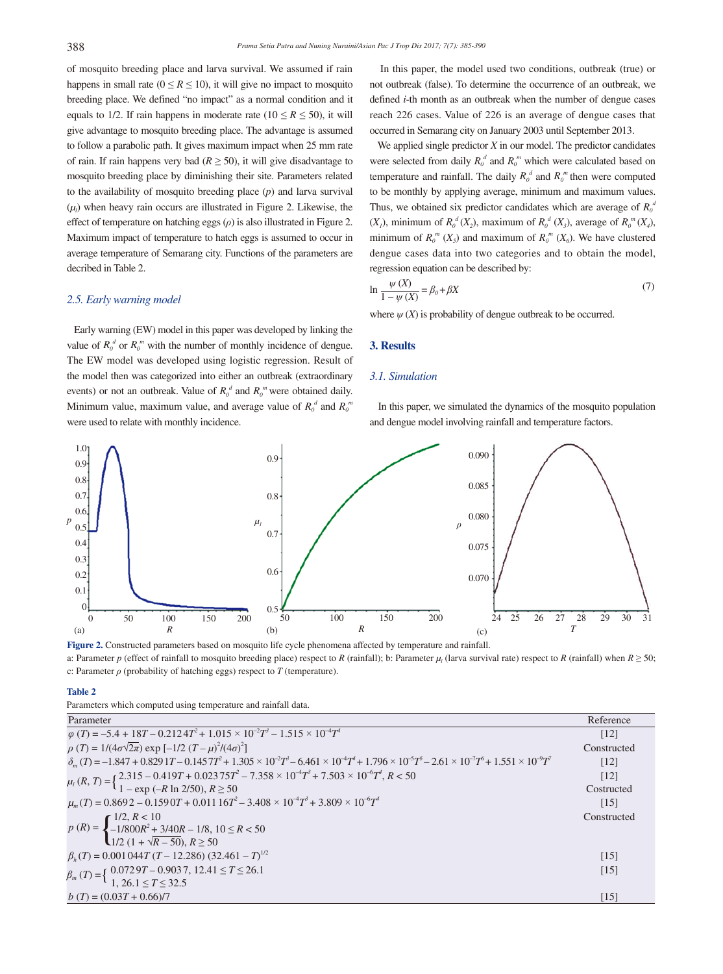of mosquito breeding place and larva survival. We assumed if rain happens in small rate ( $0 \le R \le 10$ ), it will give no impact to mosquito breeding place. We defined "no impact" as a normal condition and it equals to 1/2. If rain happens in moderate rate ( $10 \le R \le 50$ ), it will give advantage to mosquito breeding place. The advantage is assumed to follow a parabolic path. It gives maximum impact when 25 mm rate of rain. If rain happens very bad ( $R \geq 50$ ), it will give disadvantage to mosquito breeding place by diminishing their site. Parameters related to the availability of mosquito breeding place (*p*) and larva survival (*μl* ) when heavy rain occurs are illustrated in Figure 2. Likewise, the effect of temperature on hatching eggs (*ρ*) is also illustrated in Figure 2. Maximum impact of temperature to hatch eggs is assumed to occur in average temperature of Semarang city. Functions of the parameters are decribed in Table 2.

#### *2.5. Early warning model*

 Early warning (EW) model in this paper was developed by linking the value of  $R_0^d$  or  $R_0^m$  with the number of monthly incidence of dengue. The EW model was developed using logistic regression. Result of the model then was categorized into either an outbreak (extraordinary events) or not an outbreak. Value of  $R_0^d$  and  $R_0^m$  were obtained daily. Minimum value, maximum value, and average value of  $R_0^d$  and  $R_0^m$ were used to relate with monthly incidence.

 In this paper, the model used two conditions, outbreak (true) or not outbreak (false). To determine the occurrence of an outbreak, we defined *i*-th month as an outbreak when the number of dengue cases reach 226 cases. Value of 226 is an average of dengue cases that occurred in Semarang city on January 2003 until September 2013.

 We applied single predictor *X* in our model. The predictor candidates were selected from daily  $R_0^d$  and  $R_0^m$  which were calculated based on temperature and rainfall. The daily  $R_0^d$  and  $R_0^m$  then were computed to be monthly by applying average, minimum and maximum values. Thus, we obtained six predictor candidates which are average of  $R_0^d$  $(X_1)$ , minimum of  $R_0^d(X_2)$ , maximum of  $R_0^d(X_3)$ , average of  $R_0^m(X_4)$ , minimum of  $R_0^m$  ( $X_5$ ) and maximum of  $R_0^m$  ( $X_6$ ). We have clustered dengue cases data into two categories and to obtain the model, regression equation can be described by:

$$
\ln \frac{\psi(X)}{1 - \psi(X)} = \beta_0 + \beta X \tag{7}
$$

where  $\psi(X)$  is probability of dengue outbreak to be occurred.

## **3. Results**

### *3.1. Simulation*

 In this paper, we simulated the dynamics of the mosquito population and dengue model involving rainfall and temperature factors.



a: Parameter *p* (effect of rainfall to mosquito breeding place) respect to *R* (rainfall); b: Parameter  $\mu_l$  (larva survival rate) respect to *R* (rainfall) when  $R \ge 50$ ; c: Parameter *ρ* (probability of hatching eggs) respect to *T* (temperature).

#### **Table 2**

Parameters which computed using temperature and rainfall data.

| Parameter                                                                                                                                                                                                                                                        | Reference          |
|------------------------------------------------------------------------------------------------------------------------------------------------------------------------------------------------------------------------------------------------------------------|--------------------|
| $\varphi(T) = -5.4 + 18T - 0.2124T^{2} + 1.015 \times 10^{-2}T^{3} - 1.515 \times 10^{-4}T^{4}$                                                                                                                                                                  | $\lceil 12 \rceil$ |
| $\rho(T) = 1/(4\sigma\sqrt{2\pi}) \exp[-1/2(T-\mu)^2/(4\sigma)^2]$                                                                                                                                                                                               | Constructed        |
| $\delta_m(T) = -1.847 + 0.8291T - 0.1457T^2 + 1.305 \times 10^{-2}T^3 - 6.461 \times 10^{-4}T^4 + 1.796 \times 10^{-5}T^5 - 2.61 \times 10^{-7}T^6 + 1.551 \times 10^{-9}T^7$                                                                                    | $\lceil 12 \rceil$ |
| $\mu_l(R, T) = \left\{ \frac{2.315 - 0.419T + 0.02375T^2 - 7.358 \times 10^{-4}T^3 + 7.503 \times 10^{-6}T^4, R < 50 \right\}$<br>$\mu_l(R, T) = \left\{ \frac{2.315 - 0.419T + 0.02375T^2 - 7.358 \times 10^{-4}T^3 + 7.503 \times 10^{-6}T^4, R < 50 \right\}$ | [12]               |
|                                                                                                                                                                                                                                                                  | Costructed         |
| $\mu_m(T) = 0.8692 - 0.1590T + 0.01116T^2 - 3.408 \times 10^{-4}T^3 + 3.809 \times 10^{-6}T^4$                                                                                                                                                                   | $\lceil 15 \rceil$ |
|                                                                                                                                                                                                                                                                  | Constructed        |
| $p(R) = \begin{cases} 1/2, R < 10 \\ -1/800R^2 + 3/40R - 1/8, 10 \le R < 50 \\ 1/2 (1 + \sqrt{R - 50}), R \ge 50 \end{cases}$                                                                                                                                    |                    |
|                                                                                                                                                                                                                                                                  |                    |
| $\beta_h(T) = 0.001044T(T - 12.286) (32.461 - T)^{1/2}$                                                                                                                                                                                                          | $\lceil 15 \rceil$ |
| $\beta_m(T) = \left\{ \begin{array}{ll} 0.0729T - 0.9037, 12.41 \le T \le 26.1 \\ 1, 26.1 \le T \le 32.5 \end{array} \right.$                                                                                                                                    | $\lceil 15 \rceil$ |
|                                                                                                                                                                                                                                                                  |                    |
| $b(T) = (0.03T + 0.66)/7$                                                                                                                                                                                                                                        | $\lceil 15 \rceil$ |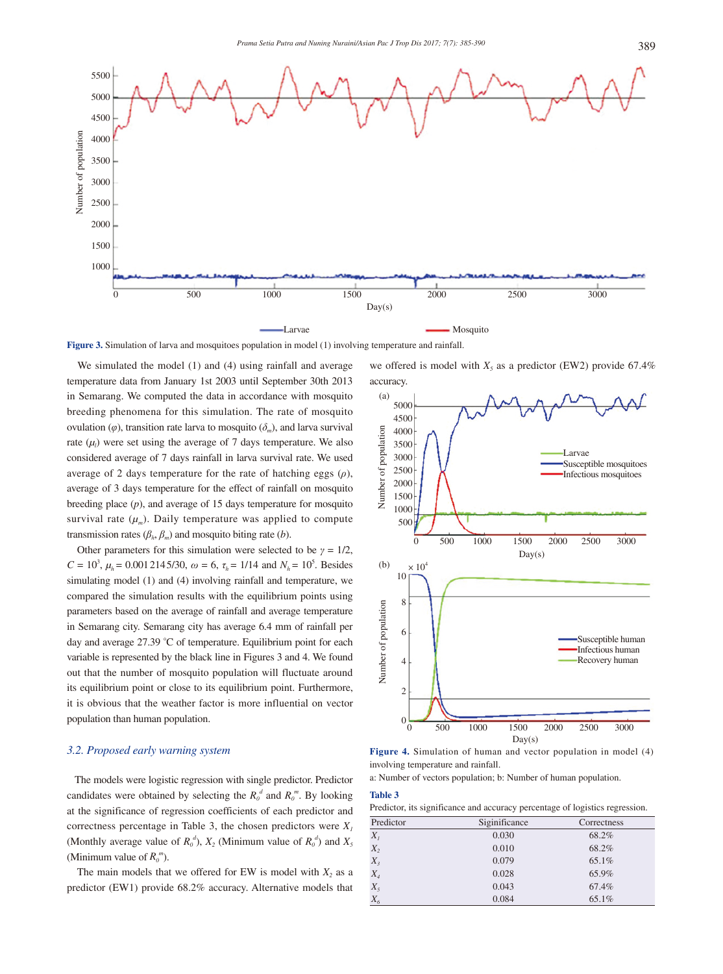

**Figure 3.** Simulation of larva and mosquitoes population in model (1) involving temperature and rainfall.

We simulated the model (1) and (4) using rainfall and average temperature data from January 1st 2003 until September 30th 2013 in Semarang. We computed the data in accordance with mosquito breeding phenomena for this simulation. The rate of mosquito ovulation ( $\varphi$ ), transition rate larva to mosquito ( $\delta_m$ ), and larva survival rate  $(\mu_l)$  were set using the average of 7 days temperature. We also considered average of 7 days rainfall in larva survival rate. We used average of 2 days temperature for the rate of hatching eggs (*ρ*), average of 3 days temperature for the effect of rainfall on mosquito breeding place (*p*), and average of 15 days temperature for mosquito survival rate  $(\mu_m)$ . Daily temperature was applied to compute transmission rates  $(\beta_h, \beta_m)$  and mosquito biting rate (*b*).

Other parameters for this simulation were selected to be  $\gamma = 1/2$ ,  $C = 10^3$ ,  $\mu_h = 0.0012145/30$ ,  $\omega = 6$ ,  $\tau_h = 1/14$  and  $N_h = 10^5$ . Besides simulating model (1) and (4) involving rainfall and temperature, we compared the simulation results with the equilibrium points using parameters based on the average of rainfall and average temperature in Semarang city. Semarang city has average 6.4 mm of rainfall per day and average 27.39 °C of temperature. Equilibrium point for each variable is represented by the black line in Figures 3 and 4. We found out that the number of mosquito population will fluctuate around its equilibrium point or close to its equilibrium point. Furthermore, it is obvious that the weather factor is more influential on vector population than human population.

## *3.2. Proposed early warning system*

 The models were logistic regression with single predictor. Predictor candidates were obtained by selecting the  $R_0^d$  and  $R_0^m$ . By looking at the significance of regression coefficients of each predictor and correctness percentage in Table 3, the chosen predictors were  $X_i$ (Monthly average value of  $R_0^d$ ),  $X_2$  (Minimum value of  $R_0^d$ ) and  $X_5$ (Minimum value of  $R_0^m$ ).

The main models that we offered for EW is model with  $X_2$  as a predictor (EW1) provide 68.2% accuracy. Alternative models that

we offered is model with  $X_5$  as a predictor (EW2) provide 67.4% accuracy.



**Figure 4.** Simulation of human and vector population in model (4) involving temperature and rainfall.

a: Number of vectors population; b: Number of human population.

#### **Table 3**

| Predictor, its significance and accuracy percentage of logistics regression. |  |  |
|------------------------------------------------------------------------------|--|--|
|                                                                              |  |  |

| Predictor | Siginificance | Correctness |
|-----------|---------------|-------------|
| $X_{I}$   | 0.030         | 68.2%       |
| $X_2$     | 0.010         | 68.2%       |
| $X_{3}$   | 0.079         | 65.1%       |
| $X_4$     | 0.028         | 65.9%       |
| $X_5$     | 0.043         | 67.4%       |
| $X_{6}$   | 0.084         | 65.1%       |